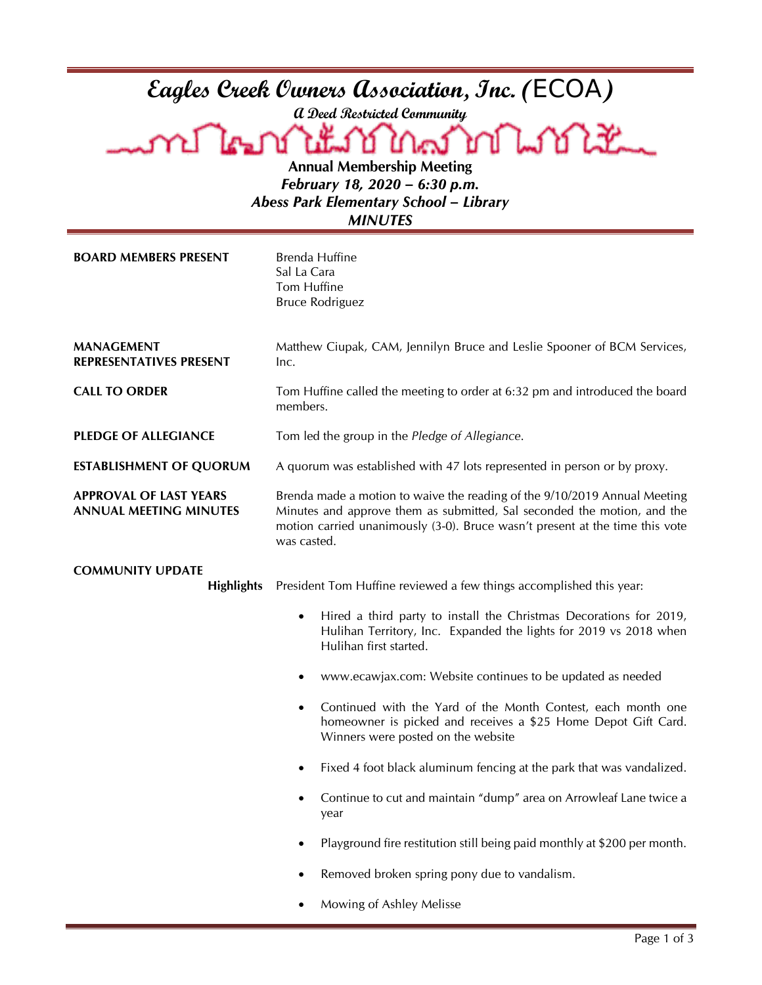| Eagles Creek Owners Association, Inc. ( $\overline{ECOA}$ )<br>a Deed Restricted Community |                                                                                                                                                                                                                                                     |  |
|--------------------------------------------------------------------------------------------|-----------------------------------------------------------------------------------------------------------------------------------------------------------------------------------------------------------------------------------------------------|--|
| ช ใกล้ มาก โมชิว มี<br>ไผม<br><b>Annual Membership Meeting</b>                             |                                                                                                                                                                                                                                                     |  |
| February 18, 2020 - 6:30 p.m.                                                              |                                                                                                                                                                                                                                                     |  |
| <b>Abess Park Elementary School - Library</b><br><b>MINUTES</b>                            |                                                                                                                                                                                                                                                     |  |
| <b>BOARD MEMBERS PRESENT</b>                                                               | <b>Brenda Huffine</b><br>Sal La Cara<br>Tom Huffine<br><b>Bruce Rodriguez</b>                                                                                                                                                                       |  |
| <b>MANAGEMENT</b><br><b>REPRESENTATIVES PRESENT</b>                                        | Matthew Ciupak, CAM, Jennilyn Bruce and Leslie Spooner of BCM Services,<br>Inc.                                                                                                                                                                     |  |
| <b>CALL TO ORDER</b>                                                                       | Tom Huffine called the meeting to order at 6:32 pm and introduced the board<br>members.                                                                                                                                                             |  |
| <b>PLEDGE OF ALLEGIANCE</b>                                                                | Tom led the group in the Pledge of Allegiance.                                                                                                                                                                                                      |  |
| <b>ESTABLISHMENT OF QUORUM</b>                                                             | A quorum was established with 47 lots represented in person or by proxy.                                                                                                                                                                            |  |
| <b>APPROVAL OF LAST YEARS</b><br><b>ANNUAL MEETING MINUTES</b>                             | Brenda made a motion to waive the reading of the 9/10/2019 Annual Meeting<br>Minutes and approve them as submitted, Sal seconded the motion, and the<br>motion carried unanimously (3-0). Bruce wasn't present at the time this vote<br>was casted. |  |
| <b>COMMUNITY UPDATE</b>                                                                    |                                                                                                                                                                                                                                                     |  |
| <b>Highlights</b>                                                                          | President Tom Huffine reviewed a few things accomplished this year:                                                                                                                                                                                 |  |
|                                                                                            | Hired a third party to install the Christmas Decorations for 2019,<br>Hulihan Territory, Inc. Expanded the lights for 2019 vs 2018 when<br>Hulihan first started.                                                                                   |  |
|                                                                                            | www.ecawjax.com: Website continues to be updated as needed                                                                                                                                                                                          |  |
|                                                                                            | Continued with the Yard of the Month Contest, each month one<br>$\bullet$<br>homeowner is picked and receives a \$25 Home Depot Gift Card.<br>Winners were posted on the website                                                                    |  |
|                                                                                            | Fixed 4 foot black aluminum fencing at the park that was vandalized.<br>٠                                                                                                                                                                           |  |
|                                                                                            | Continue to cut and maintain "dump" area on Arrowleaf Lane twice a<br>٠<br>year                                                                                                                                                                     |  |
|                                                                                            | Playground fire restitution still being paid monthly at \$200 per month.                                                                                                                                                                            |  |
|                                                                                            | Removed broken spring pony due to vandalism.<br>٠                                                                                                                                                                                                   |  |
|                                                                                            | Mowing of Ashley Melisse<br>٠                                                                                                                                                                                                                       |  |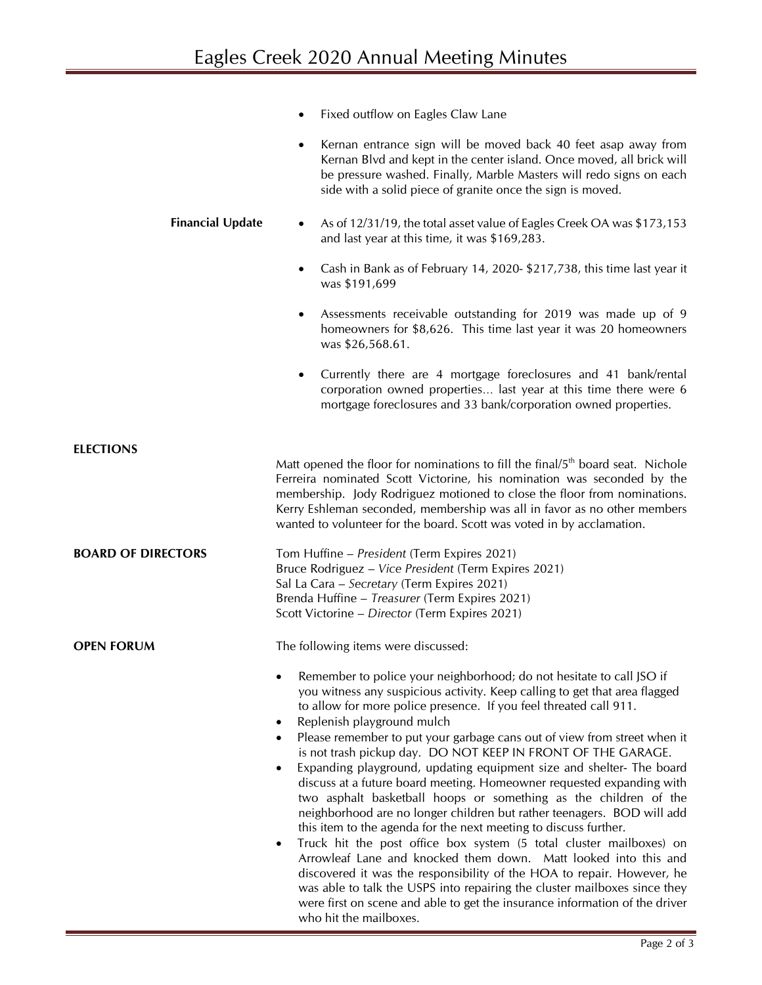|                         | • Fixed outflow on Eagles Claw Lane                                                                                                                                                                                                                                                       |
|-------------------------|-------------------------------------------------------------------------------------------------------------------------------------------------------------------------------------------------------------------------------------------------------------------------------------------|
|                         | Kernan entrance sign will be moved back 40 feet asap away from<br>$\bullet$<br>Kernan Blvd and kept in the center island. Once moved, all brick will<br>be pressure washed. Finally, Marble Masters will redo signs on each<br>side with a solid piece of granite once the sign is moved. |
| <b>Financial Update</b> | • As of 12/31/19, the total asset value of Eagles Creek OA was \$173,153<br>and last year at this time, it was \$169,283.                                                                                                                                                                 |

- Cash in Bank as of February 14, 2020- \$217,738, this time last year it was \$191,699
- Assessments receivable outstanding for 2019 was made up of 9 homeowners for \$8,626. This time last year it was 20 homeowners was \$26,568.61.
- Currently there are 4 mortgage foreclosures and 41 bank/rental corporation owned properties… last year at this time there were 6 mortgage foreclosures and 33 bank/corporation owned properties.

| <b>ELECTIONS</b>          |                                                                                                                                                                                                                                                                                                                                                                                                                                                                                                                                                                                                                                                                                                                                                                                                                                                                                                                                                                                                                                                                                                                                                                                                                    |
|---------------------------|--------------------------------------------------------------------------------------------------------------------------------------------------------------------------------------------------------------------------------------------------------------------------------------------------------------------------------------------------------------------------------------------------------------------------------------------------------------------------------------------------------------------------------------------------------------------------------------------------------------------------------------------------------------------------------------------------------------------------------------------------------------------------------------------------------------------------------------------------------------------------------------------------------------------------------------------------------------------------------------------------------------------------------------------------------------------------------------------------------------------------------------------------------------------------------------------------------------------|
|                           | Matt opened the floor for nominations to fill the final/5 <sup>th</sup> board seat. Nichole<br>Ferreira nominated Scott Victorine, his nomination was seconded by the<br>membership. Jody Rodriguez motioned to close the floor from nominations.<br>Kerry Eshleman seconded, membership was all in favor as no other members<br>wanted to volunteer for the board. Scott was voted in by acclamation.                                                                                                                                                                                                                                                                                                                                                                                                                                                                                                                                                                                                                                                                                                                                                                                                             |
| <b>BOARD OF DIRECTORS</b> | Tom Huffine - President (Term Expires 2021)<br>Bruce Rodriguez - Vice President (Term Expires 2021)<br>Sal La Cara - Secretary (Term Expires 2021)<br>Brenda Huffine - Treasurer (Term Expires 2021)<br>Scott Victorine - Director (Term Expires 2021)                                                                                                                                                                                                                                                                                                                                                                                                                                                                                                                                                                                                                                                                                                                                                                                                                                                                                                                                                             |
| <b>OPEN FORUM</b>         | The following items were discussed:                                                                                                                                                                                                                                                                                                                                                                                                                                                                                                                                                                                                                                                                                                                                                                                                                                                                                                                                                                                                                                                                                                                                                                                |
|                           | Remember to police your neighborhood; do not hesitate to call JSO if<br>you witness any suspicious activity. Keep calling to get that area flagged<br>to allow for more police presence. If you feel threated call 911.<br>Replenish playground mulch<br>٠<br>Please remember to put your garbage cans out of view from street when it<br>$\bullet$<br>is not trash pickup day. DO NOT KEEP IN FRONT OF THE GARAGE.<br>Expanding playground, updating equipment size and shelter- The board<br>$\bullet$<br>discuss at a future board meeting. Homeowner requested expanding with<br>two asphalt basketball hoops or something as the children of the<br>neighborhood are no longer children but rather teenagers. BOD will add<br>this item to the agenda for the next meeting to discuss further.<br>Truck hit the post office box system (5 total cluster mailboxes) on<br>٠<br>Arrowleaf Lane and knocked them down. Matt looked into this and<br>discovered it was the responsibility of the HOA to repair. However, he<br>was able to talk the USPS into repairing the cluster mailboxes since they<br>were first on scene and able to get the insurance information of the driver<br>who hit the mailboxes. |